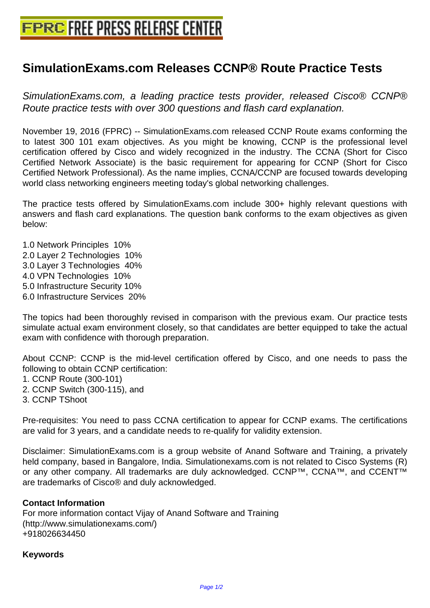## **[SimulationExams.com Releases C](http://www.free-press-release-center.info)CNP® Route Practice Tests**

SimulationExams.com, a leading practice tests provider, released Cisco® CCNP® Route practice tests with over 300 questions and flash card explanation.

November 19, 2016 (FPRC) -- SimulationExams.com released CCNP Route exams conforming the to latest 300 101 exam objectives. As you might be knowing, CCNP is the professional level certification offered by Cisco and widely recognized in the industry. The CCNA (Short for Cisco Certified Network Associate) is the basic requirement for appearing for CCNP (Short for Cisco Certified Network Professional). As the name implies, CCNA/CCNP are focused towards developing world class networking engineers meeting today's global networking challenges.

The practice tests offered by SimulationExams.com include 300+ highly relevant questions with answers and flash card explanations. The question bank conforms to the exam objectives as given below:

1.0 Network Principles 10% 2.0 Layer 2 Technologies 10% 3.0 Layer 3 Technologies 40% 4.0 VPN Technologies 10% 5.0 Infrastructure Security 10% 6.0 Infrastructure Services 20%

The topics had been thoroughly revised in comparison with the previous exam. Our practice tests simulate actual exam environment closely, so that candidates are better equipped to take the actual exam with confidence with thorough preparation.

About CCNP: CCNP is the mid-level certification offered by Cisco, and one needs to pass the following to obtain CCNP certification:

- 1. CCNP Route (300-101)
- 2. CCNP Switch (300-115), and
- 3. CCNP TShoot

Pre-requisites: You need to pass CCNA certification to appear for CCNP exams. The certifications are valid for 3 years, and a candidate needs to re-qualify for validity extension.

Disclaimer: SimulationExams.com is a group website of Anand Software and Training, a privately held company, based in Bangalore, India. Simulationexams.com is not related to Cisco Systems (R) or any other company. All trademarks are duly acknowledged. CCNP™, CCNA™, and CCENT™ are trademarks of Cisco® and duly acknowledged.

## **Contact Information**

For more information contact Vijay of Anand Software and Training (http://www.simulationexams.com/) +918026634450

## **Keywords**